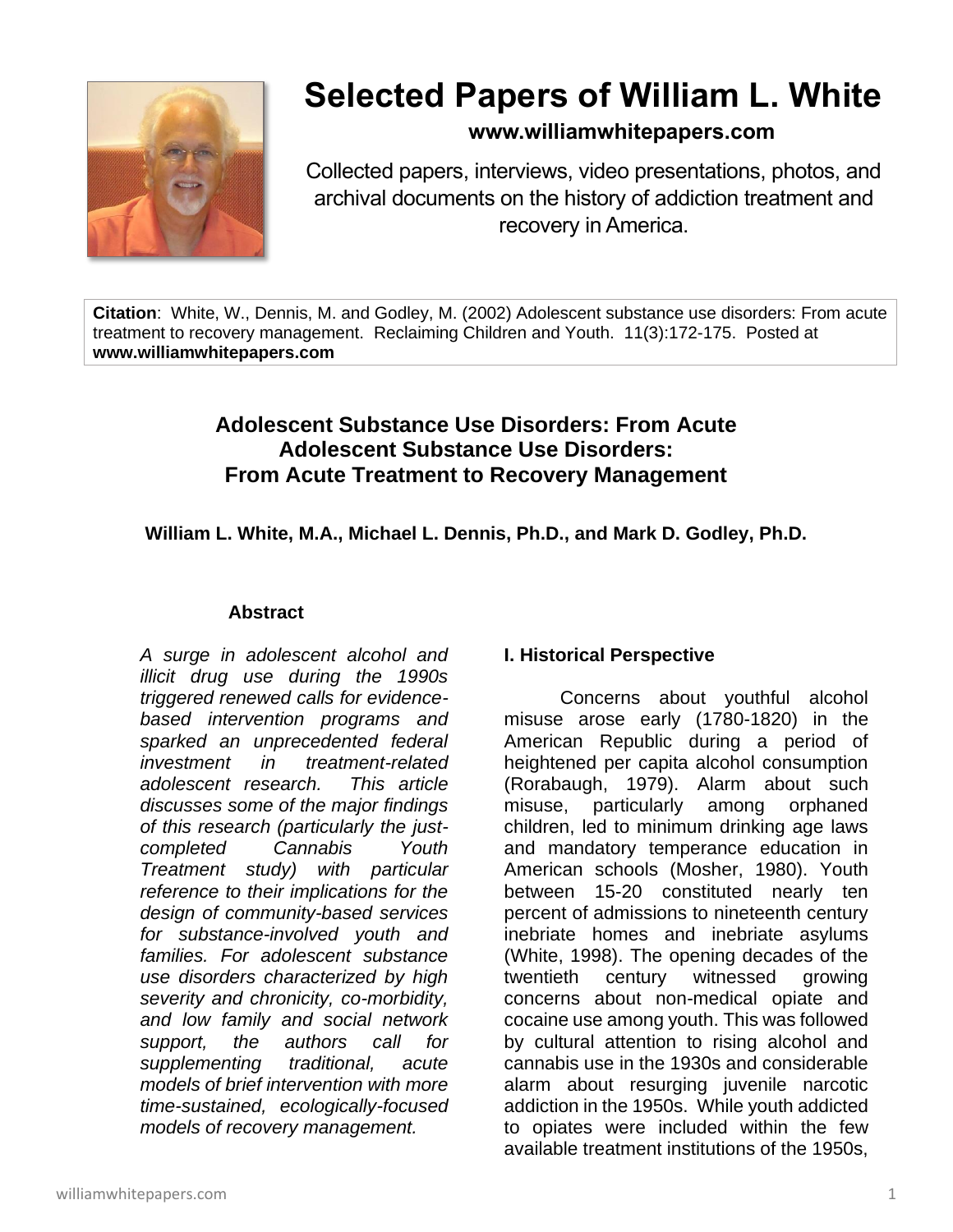

# **Selected Papers of William L. White**

## **www.williamwhitepapers.com**

Collected papers, interviews, video presentations, photos, and archival documents on the history of addiction treatment and recovery in America.

**Citation**: White, W., Dennis, M. and Godley, M. (2002) Adolescent substance use disorders: From acute treatment to recovery management. Reclaiming Children and Youth. 11(3):172-175. Posted at **www.williamwhitepapers.com**

# **Adolescent Substance Use Disorders: From Acute Adolescent Substance Use Disorders: From Acute Treatment to Recovery Management**

**William L. White, M.A., Michael L. Dennis, Ph.D., and Mark D. Godley, Ph.D.**

#### **Abstract**

*A surge in adolescent alcohol and illicit drug use during the 1990s triggered renewed calls for evidencebased intervention programs and sparked an unprecedented federal investment in treatment-related adolescent research. This article discusses some of the major findings of this research (particularly the justcompleted Cannabis Youth Treatment study) with particular reference to their implications for the design of community-based services for substance-involved youth and families. For adolescent substance use disorders characterized by high severity and chronicity, co-morbidity, and low family and social network support, the authors call for supplementing traditional, acute models of brief intervention with more time-sustained, ecologically-focused models of recovery management.*

## **I. Historical Perspective**

Concerns about youthful alcohol misuse arose early (1780-1820) in the American Republic during a period of heightened per capita alcohol consumption (Rorabaugh, 1979). Alarm about such misuse, particularly among orphaned children, led to minimum drinking age laws and mandatory temperance education in American schools (Mosher, 1980). Youth between 15-20 constituted nearly ten percent of admissions to nineteenth century inebriate homes and inebriate asylums (White, 1998). The opening decades of the twentieth century witnessed growing concerns about non-medical opiate and cocaine use among youth. This was followed by cultural attention to rising alcohol and cannabis use in the 1930s and considerable alarm about resurging juvenile narcotic addiction in the 1950s. While youth addicted to opiates were included within the few available treatment institutions of the 1950s,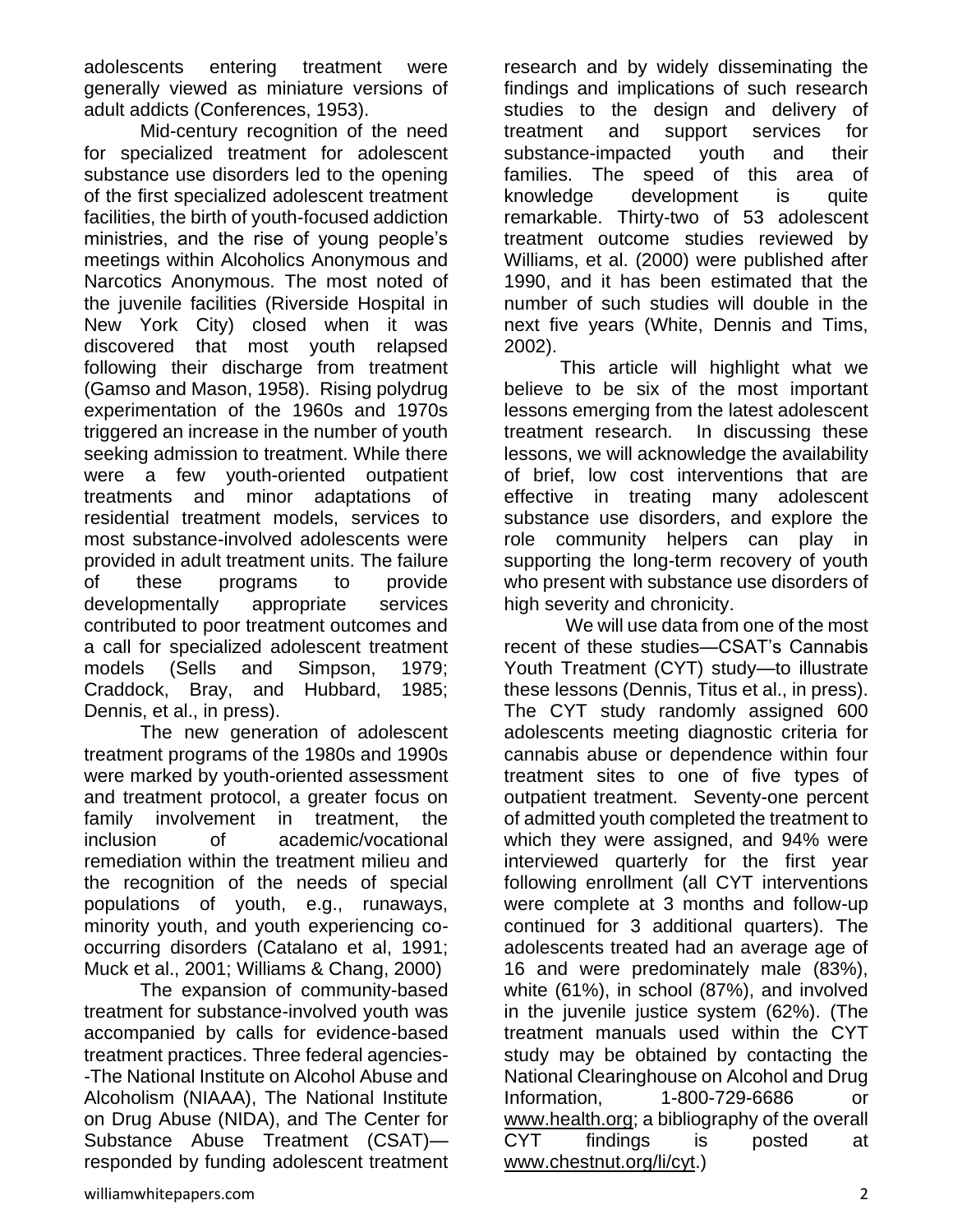adolescents entering treatment were generally viewed as miniature versions of adult addicts (Conferences, 1953).

Mid-century recognition of the need for specialized treatment for adolescent substance use disorders led to the opening of the first specialized adolescent treatment facilities, the birth of youth-focused addiction ministries, and the rise of young people's meetings within Alcoholics Anonymous and Narcotics Anonymous. The most noted of the juvenile facilities (Riverside Hospital in New York City) closed when it was discovered that most youth relapsed following their discharge from treatment (Gamso and Mason, 1958). Rising polydrug experimentation of the 1960s and 1970s triggered an increase in the number of youth seeking admission to treatment. While there were a few youth-oriented outpatient treatments and minor adaptations of residential treatment models, services to most substance-involved adolescents were provided in adult treatment units. The failure of these programs to provide developmentally appropriate services contributed to poor treatment outcomes and a call for specialized adolescent treatment models (Sells and Simpson, 1979; Craddock, Bray, and Hubbard, 1985; Dennis, et al., in press).

The new generation of adolescent treatment programs of the 1980s and 1990s were marked by youth-oriented assessment and treatment protocol, a greater focus on family involvement in treatment, the inclusion of academic/vocational remediation within the treatment milieu and the recognition of the needs of special populations of youth, e.g., runaways, minority youth, and youth experiencing cooccurring disorders (Catalano et al, 1991; Muck et al., 2001; Williams & Chang, 2000)

The expansion of community-based treatment for substance-involved youth was accompanied by calls for evidence-based treatment practices. Three federal agencies- -The National Institute on Alcohol Abuse and Alcoholism (NIAAA), The National Institute on Drug Abuse (NIDA), and The Center for Substance Abuse Treatment (CSAT) responded by funding adolescent treatment research and by widely disseminating the findings and implications of such research studies to the design and delivery of treatment and support services for substance-impacted youth and their families. The speed of this area of knowledge development is quite remarkable. Thirty-two of 53 adolescent treatment outcome studies reviewed by Williams, et al. (2000) were published after 1990, and it has been estimated that the number of such studies will double in the next five years (White, Dennis and Tims, 2002).

This article will highlight what we believe to be six of the most important lessons emerging from the latest adolescent treatment research. In discussing these lessons, we will acknowledge the availability of brief, low cost interventions that are effective in treating many adolescent substance use disorders, and explore the role community helpers can play in supporting the long-term recovery of youth who present with substance use disorders of high severity and chronicity.

We will use data from one of the most recent of these studies—CSAT's Cannabis Youth Treatment (CYT) study—to illustrate these lessons (Dennis, Titus et al., in press). The CYT study randomly assigned 600 adolescents meeting diagnostic criteria for cannabis abuse or dependence within four treatment sites to one of five types of outpatient treatment. Seventy-one percent of admitted youth completed the treatment to which they were assigned, and 94% were interviewed quarterly for the first year following enrollment (all CYT interventions were complete at 3 months and follow-up continued for 3 additional quarters). The adolescents treated had an average age of 16 and were predominately male (83%), white (61%), in school (87%), and involved in the juvenile justice system (62%). (The treatment manuals used within the CYT study may be obtained by contacting the National Clearinghouse on Alcohol and Drug Information, 1-800-729-6686 or [www.health.org;](http://www.health.org/) a bibliography of the overall CYT findings is posted at [www.chestnut.org/li/cyt.](http://www.chestnut.org/li/cyt))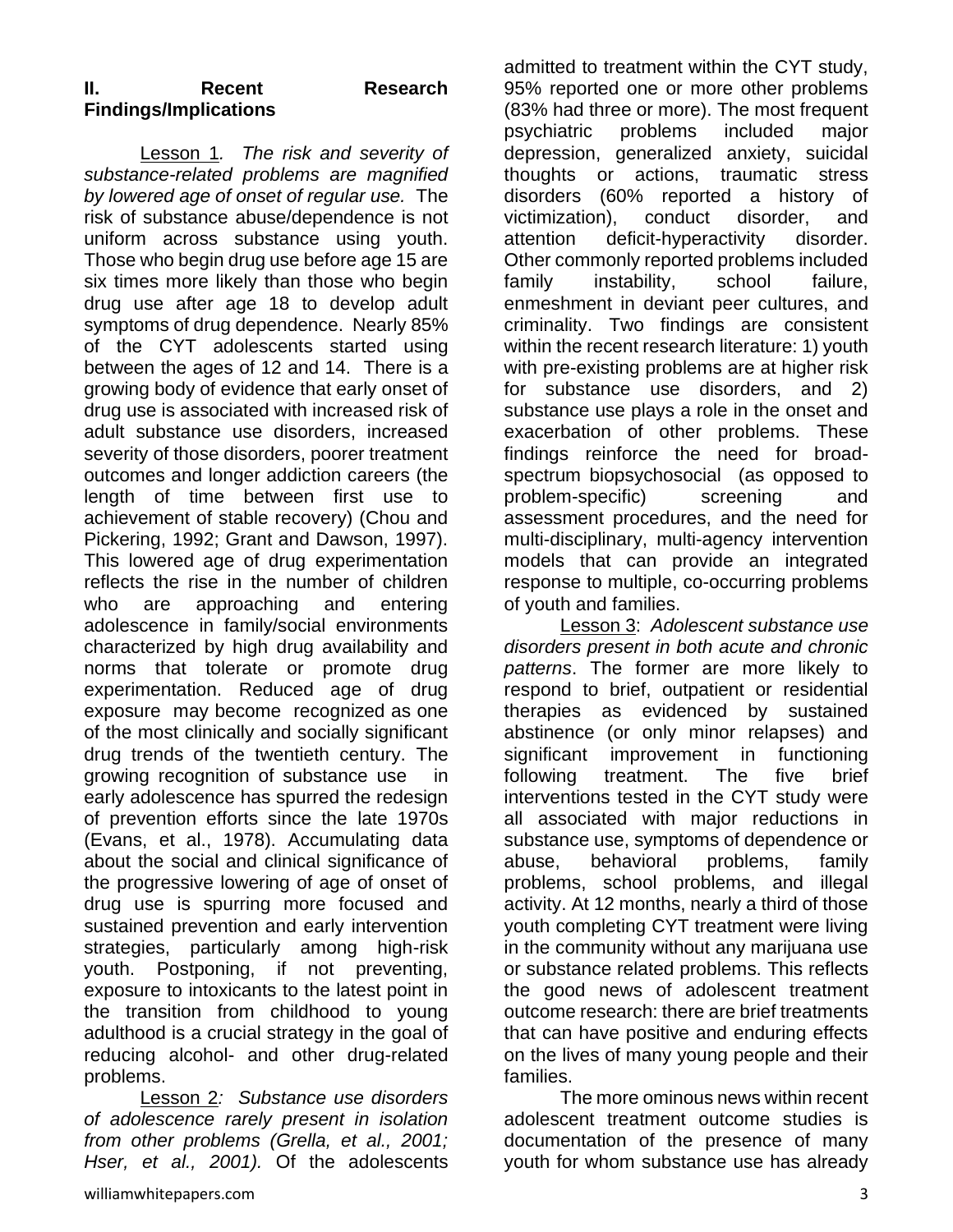## **II. Recent Research Findings/Implications**

Lesson 1*. The risk and severity of substance-related problems are magnified by lowered age of onset of regular use.* The risk of substance abuse/dependence is not uniform across substance using youth. Those who begin drug use before age 15 are six times more likely than those who begin drug use after age 18 to develop adult symptoms of drug dependence. Nearly 85% of the CYT adolescents started using between the ages of 12 and 14. There is a growing body of evidence that early onset of drug use is associated with increased risk of adult substance use disorders, increased severity of those disorders, poorer treatment outcomes and longer addiction careers (the length of time between first use to achievement of stable recovery) (Chou and Pickering, 1992; Grant and Dawson, 1997). This lowered age of drug experimentation reflects the rise in the number of children who are approaching and entering adolescence in family/social environments characterized by high drug availability and norms that tolerate or promote drug experimentation. Reduced age of drug exposure may become recognized as one of the most clinically and socially significant drug trends of the twentieth century. The growing recognition of substance use early adolescence has spurred the redesign of prevention efforts since the late 1970s (Evans, et al., 1978). Accumulating data about the social and clinical significance of the progressive lowering of age of onset of drug use is spurring more focused and sustained prevention and early intervention strategies, particularly among high-risk youth. Postponing, if not preventing, exposure to intoxicants to the latest point in the transition from childhood to young adulthood is a crucial strategy in the goal of reducing alcohol- and other drug-related problems.

Lesson 2*: Substance use disorders of adolescence rarely present in isolation from other problems (Grella, et al., 2001; Hser, et al., 2001).* Of the adolescents admitted to treatment within the CYT study, 95% reported one or more other problems (83% had three or more). The most frequent psychiatric problems included major depression, generalized anxiety, suicidal thoughts or actions, traumatic stress disorders (60% reported a history of victimization), conduct disorder, and attention deficit-hyperactivity disorder. Other commonly reported problems included family instability, school failure, enmeshment in deviant peer cultures, and criminality. Two findings are consistent within the recent research literature: 1) youth with pre-existing problems are at higher risk for substance use disorders, and 2) substance use plays a role in the onset and exacerbation of other problems. These findings reinforce the need for broadspectrum biopsychosocial (as opposed to problem-specific) screening and assessment procedures, and the need for multi-disciplinary, multi-agency intervention models that can provide an integrated response to multiple, co-occurring problems of youth and families.

Lesson 3: *Adolescent substance use disorders present in both acute and chronic patterns*. The former are more likely to respond to brief, outpatient or residential therapies as evidenced by sustained abstinence (or only minor relapses) and significant improvement in functioning following treatment. The five brief interventions tested in the CYT study were all associated with major reductions in substance use, symptoms of dependence or abuse, behavioral problems, family problems, school problems, and illegal activity. At 12 months, nearly a third of those youth completing CYT treatment were living in the community without any marijuana use or substance related problems. This reflects the good news of adolescent treatment outcome research: there are brief treatments that can have positive and enduring effects on the lives of many young people and their families.

The more ominous news within recent adolescent treatment outcome studies is documentation of the presence of many youth for whom substance use has already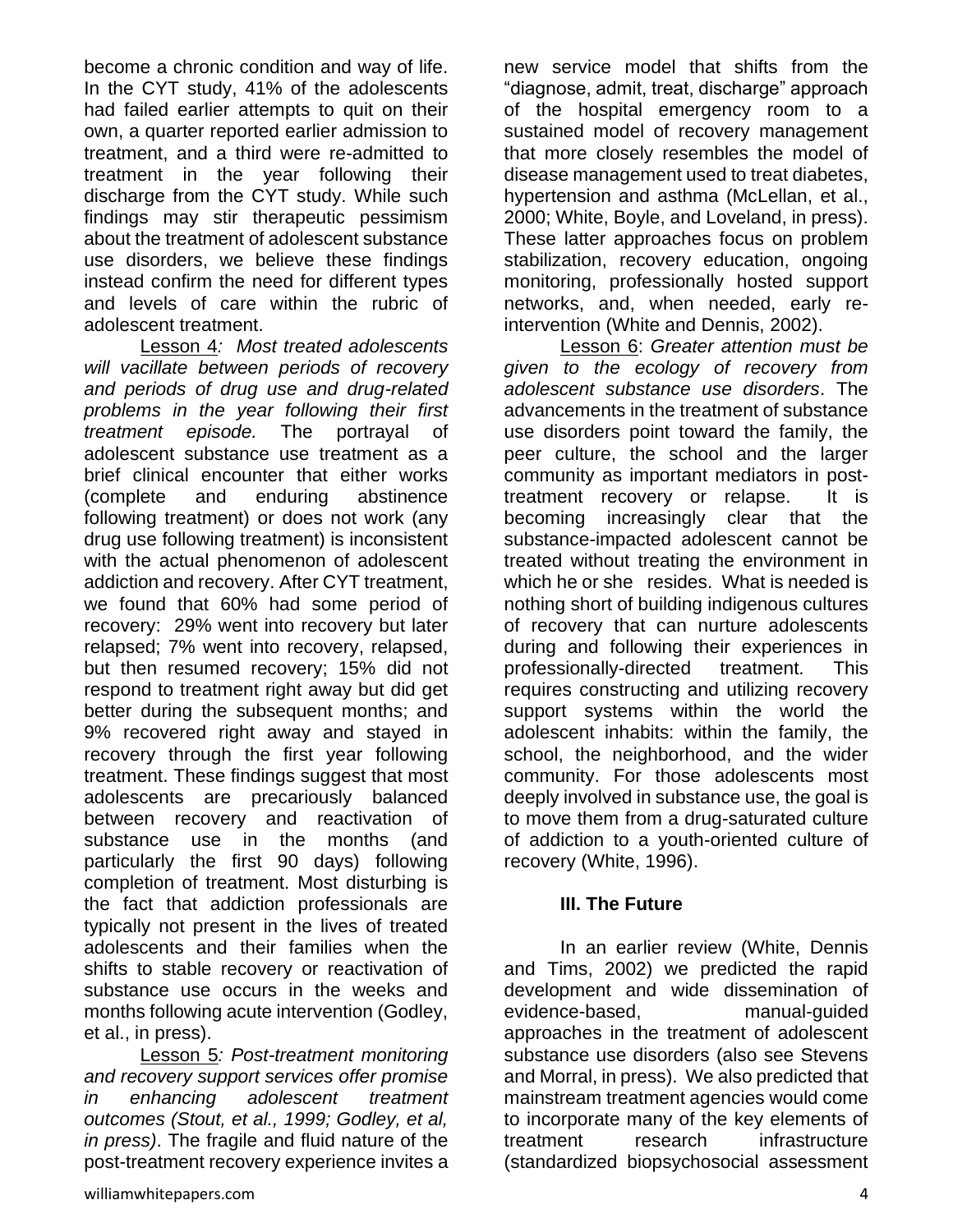become a chronic condition and way of life. In the CYT study, 41% of the adolescents had failed earlier attempts to quit on their own, a quarter reported earlier admission to treatment, and a third were re-admitted to treatment in the year following their discharge from the CYT study. While such findings may stir therapeutic pessimism about the treatment of adolescent substance use disorders, we believe these findings instead confirm the need for different types and levels of care within the rubric of adolescent treatment.

Lesson 4*: Most treated adolescents will vacillate between periods of recovery and periods of drug use and drug-related problems in the year following their first treatment episode.* The portrayal of adolescent substance use treatment as a brief clinical encounter that either works (complete and enduring abstinence following treatment) or does not work (any drug use following treatment) is inconsistent with the actual phenomenon of adolescent addiction and recovery. After CYT treatment, we found that 60% had some period of recovery: 29% went into recovery but later relapsed; 7% went into recovery, relapsed, but then resumed recovery; 15% did not respond to treatment right away but did get better during the subsequent months; and 9% recovered right away and stayed in recovery through the first year following treatment. These findings suggest that most adolescents are precariously balanced between recovery and reactivation of substance use in the months (and particularly the first 90 days) following completion of treatment. Most disturbing is the fact that addiction professionals are typically not present in the lives of treated adolescents and their families when the shifts to stable recovery or reactivation of substance use occurs in the weeks and months following acute intervention (Godley, et al., in press).

Lesson 5*: Post-treatment monitoring and recovery support services offer promise in enhancing adolescent treatment outcomes (Stout, et al., 1999; Godley, et al, in press)*. The fragile and fluid nature of the post-treatment recovery experience invites a new service model that shifts from the "diagnose, admit, treat, discharge" approach of the hospital emergency room to a sustained model of recovery management that more closely resembles the model of disease management used to treat diabetes, hypertension and asthma (McLellan, et al., 2000; White, Boyle, and Loveland, in press). These latter approaches focus on problem stabilization, recovery education, ongoing monitoring, professionally hosted support networks, and, when needed, early reintervention (White and Dennis, 2002).

Lesson 6: *Greater attention must be given to the ecology of recovery from adolescent substance use disorders*. The advancements in the treatment of substance use disorders point toward the family, the peer culture, the school and the larger community as important mediators in posttreatment recovery or relapse. It is becoming increasingly clear that the substance-impacted adolescent cannot be treated without treating the environment in which he or she resides. What is needed is nothing short of building indigenous cultures of recovery that can nurture adolescents during and following their experiences in professionally-directed treatment. This requires constructing and utilizing recovery support systems within the world the adolescent inhabits: within the family, the school, the neighborhood, and the wider community. For those adolescents most deeply involved in substance use, the goal is to move them from a drug-saturated culture of addiction to a youth-oriented culture of recovery (White, 1996).

#### **III. The Future**

In an earlier review (White, Dennis and Tims, 2002) we predicted the rapid development and wide dissemination of evidence-based, manual-guided approaches in the treatment of adolescent substance use disorders (also see Stevens and Morral, in press). We also predicted that mainstream treatment agencies would come to incorporate many of the key elements of treatment research infrastructure (standardized biopsychosocial assessment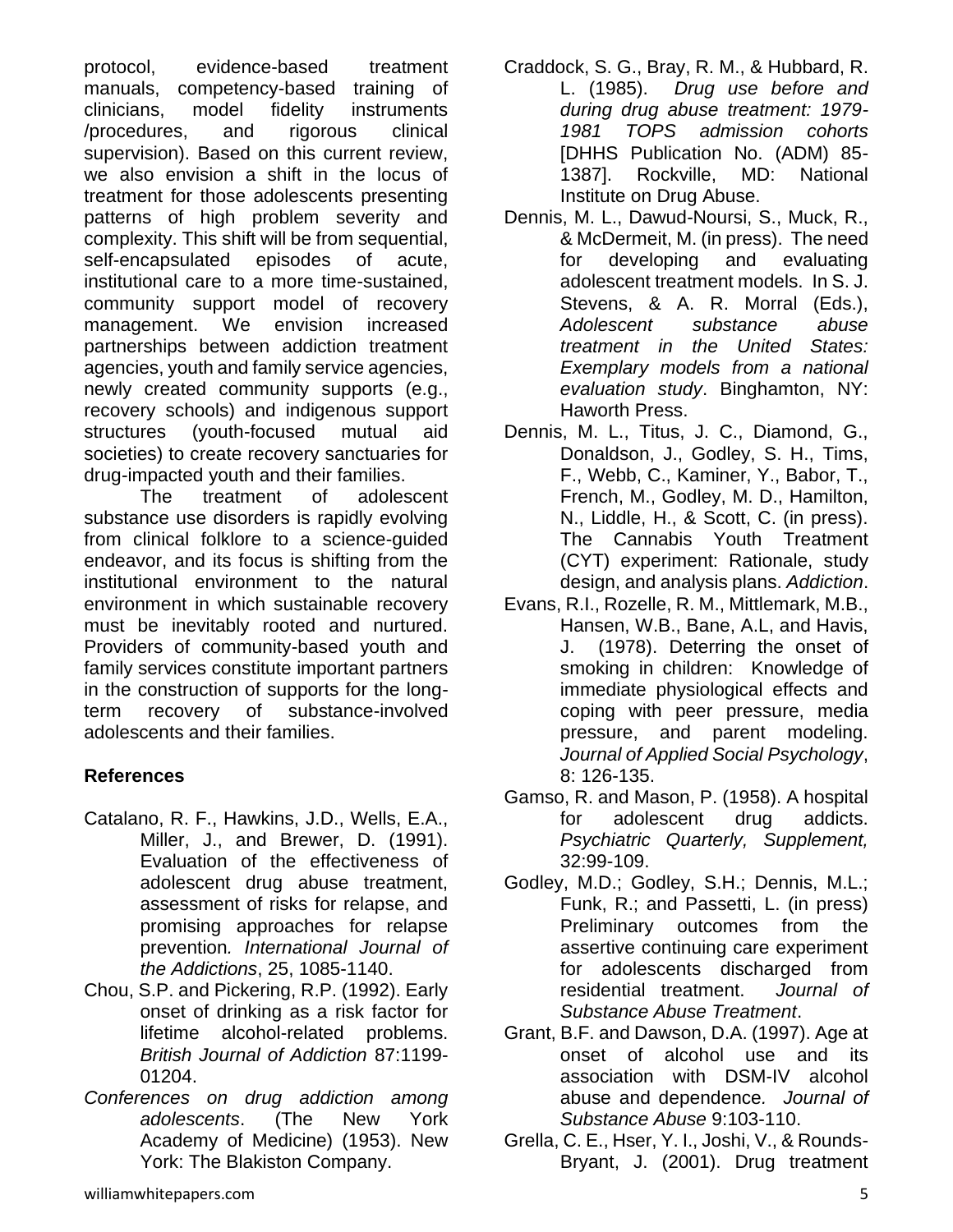protocol, evidence-based treatment manuals, competency-based training of clinicians, model fidelity instruments /procedures, and rigorous clinical supervision). Based on this current review, we also envision a shift in the locus of treatment for those adolescents presenting patterns of high problem severity and complexity. This shift will be from sequential, self-encapsulated episodes of acute, institutional care to a more time-sustained, community support model of recovery management. We envision increased partnerships between addiction treatment agencies, youth and family service agencies, newly created community supports (e.g., recovery schools) and indigenous support structures (youth-focused mutual aid societies) to create recovery sanctuaries for drug-impacted youth and their families.

The treatment of adolescent substance use disorders is rapidly evolving from clinical folklore to a science-guided endeavor, and its focus is shifting from the institutional environment to the natural environment in which sustainable recovery must be inevitably rooted and nurtured. Providers of community-based youth and family services constitute important partners in the construction of supports for the longterm recovery of substance-involved adolescents and their families.

## **References**

- Catalano, R. F., Hawkins, J.D., Wells, E.A., Miller, J., and Brewer, D. (1991). Evaluation of the effectiveness of adolescent drug abuse treatment, assessment of risks for relapse, and promising approaches for relapse prevention*. International Journal of the Addictions*, 25, 1085-1140.
- Chou, S.P. and Pickering, R.P. (1992). Early onset of drinking as a risk factor for lifetime alcohol-related problems. *British Journal of Addiction* 87:1199- 01204.
- *Conferences on drug addiction among adolescents*. (The New York Academy of Medicine) (1953). New York: The Blakiston Company.
- Craddock, S. G., Bray, R. M., & Hubbard, R. L. (1985). *Drug use before and during drug abuse treatment: 1979- 1981 TOPS admission cohorts*  [DHHS Publication No. (ADM) 85- 1387]. Rockville, MD: National Institute on Drug Abuse.
- Dennis, M. L., Dawud-Noursi, S., Muck, R., & McDermeit, M. (in press). The need for developing and evaluating adolescent treatment models. In S. J. Stevens, & A. R. Morral (Eds.), *Adolescent substance abuse treatment in the United States: Exemplary models from a national evaluation study*. Binghamton, NY: Haworth Press.
- Dennis, M. L., Titus, J. C., Diamond, G., Donaldson, J., Godley, S. H., Tims, F., Webb, C., Kaminer, Y., Babor, T., French, M., Godley, M. D., Hamilton, N., Liddle, H., & Scott, C. (in press). The Cannabis Youth Treatment (CYT) experiment: Rationale, study design, and analysis plans. *Addiction*.
- Evans, R.I., Rozelle, R. M., Mittlemark, M.B., Hansen, W.B., Bane, A.L, and Havis, J. (1978). Deterring the onset of smoking in children: Knowledge of immediate physiological effects and coping with peer pressure, media pressure, and parent modeling. *Journal of Applied Social Psychology*, 8: 126-135.
- Gamso, R. and Mason, P. (1958). A hospital for adolescent drug addicts. *Psychiatric Quarterly, Supplement,* 32:99-109.
- Godley, M.D.; Godley, S.H.; Dennis, M.L.; Funk, R.; and Passetti, L. (in press) Preliminary outcomes from the assertive continuing care experiment for adolescents discharged from residential treatment. *Journal of Substance Abuse Treatment*.
- Grant, B.F. and Dawson, D.A. (1997). Age at onset of alcohol use and its association with DSM-IV alcohol abuse and dependence*. Journal of Substance Abuse* 9:103-110.
- Grella, C. E., Hser, Y. I., Joshi, V., & Rounds-Bryant, J. (2001). Drug treatment